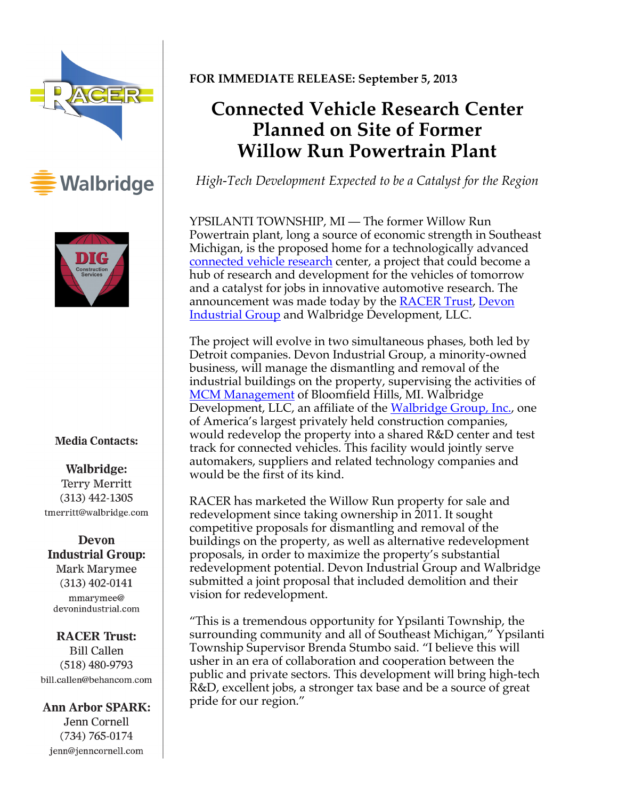





### **Media Contacts:**

Walbridge: **Terry Merritt**  $(313)$  442-1305 tmerritt@walbridge.com

**Devon Industrial Group:** Mark Marymee  $(313)$  402-0141 mmarymee@ devonindustrial.com

#### **RACER Trust: Bill Callen**  $(518)$  480-9793 bill.callen@behancom.com

### **Ann Arbor SPARK:**

Jenn Cornell  $(734) 765 - 0174$ jenn@jenncornell.com

## **FOR IMMEDIATE RELEASE: September 5, 2013**

# **Connected Vehicle Research Center Planned on Site of Former Willow Run Powertrain Plant**

*High-Tech Development Expected to be a Catalyst for the Region* 

YPSILANTI TOWNSHIP, MI — The former Willow Run Powertrain plant, long a source of economic strength in Southeast Michigan, is the proposed home for a technologically advanced connected vehicle research center, a project that could become a hub of research and development for the vehicles of tomorrow and a catalyst for jobs in innovative automotive research. The announcement was made today by the **RACER Trust**, Devon **Industrial Group** and Walbridge Development, LLC.

The project will evolve in two simultaneous phases, both led by Detroit companies. Devon Industrial Group, a minority-owned business, will manage the dismantling and removal of the industrial buildings on the property, supervising the activities of MCM Management of Bloomfield Hills, MI. Walbridge Development, LLC, an affiliate of the Walbridge Group, Inc., one of America's largest privately held construction companies, would redevelop the property into a shared R&D center and test track for connected vehicles. This facility would jointly serve automakers, suppliers and related technology companies and would be the first of its kind.

RACER has marketed the Willow Run property for sale and redevelopment since taking ownership in 2011. It sought competitive proposals for dismantling and removal of the buildings on the property, as well as alternative redevelopment proposals, in order to maximize the property's substantial redevelopment potential. Devon Industrial Group and Walbridge submitted a joint proposal that included demolition and their vision for redevelopment.

"This is a tremendous opportunity for Ypsilanti Township, the surrounding community and all of Southeast Michigan," Ypsilanti Township Supervisor Brenda Stumbo said. "I believe this will usher in an era of collaboration and cooperation between the public and private sectors. This development will bring high-tech R&D, excellent jobs, a stronger tax base and be a source of great pride for our region."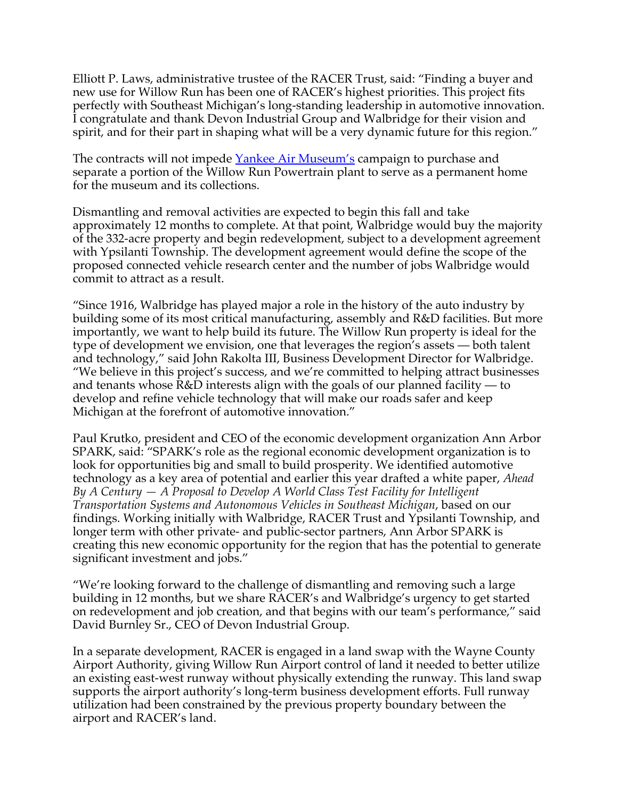Elliott P. Laws, administrative trustee of the RACER Trust, said: "Finding a buyer and new use for Willow Run has been one of RACER's highest priorities. This project fits perfectly with Southeast Michigan's long-standing leadership in automotive innovation. I congratulate and thank Devon Industrial Group and Walbridge for their vision and spirit, and for their part in shaping what will be a very dynamic future for this region."

The contracts will not impede Yankee Air Museum's campaign to purchase and separate a portion of the Willow Run Powertrain plant to serve as a permanent home for the museum and its collections.

Dismantling and removal activities are expected to begin this fall and take approximately 12 months to complete. At that point, Walbridge would buy the majority of the 332-acre property and begin redevelopment, subject to a development agreement with Ypsilanti Township. The development agreement would define the scope of the proposed connected vehicle research center and the number of jobs Walbridge would commit to attract as a result.

"Since 1916, Walbridge has played major a role in the history of the auto industry by building some of its most critical manufacturing, assembly and R&D facilities. But more importantly, we want to help build its future. The Willow Run property is ideal for the type of development we envision, one that leverages the region's assets — both talent and technology," said John Rakolta III, Business Development Director for Walbridge. "We believe in this project's success, and we're committed to helping attract businesses and tenants whose R&D interests align with the goals of our planned facility — to develop and refine vehicle technology that will make our roads safer and keep Michigan at the forefront of automotive innovation."

Paul Krutko, president and CEO of the economic development organization Ann Arbor SPARK, said: "SPARK's role as the regional economic development organization is to look for opportunities big and small to build prosperity. We identified automotive technology as a key area of potential and earlier this year drafted a white paper, *Ahead By A Century — A Proposal to Develop A World Class Test Facility for Intelligent Transportation Systems and Autonomous Vehicles in Southeast Michigan*, based on our findings. Working initially with Walbridge, RACER Trust and Ypsilanti Township, and longer term with other private- and public-sector partners, Ann Arbor SPARK is creating this new economic opportunity for the region that has the potential to generate significant investment and jobs."

"We're looking forward to the challenge of dismantling and removing such a large building in 12 months, but we share RACER's and Walbridge's urgency to get started on redevelopment and job creation, and that begins with our team's performance," said David Burnley Sr., CEO of Devon Industrial Group.

In a separate development, RACER is engaged in a land swap with the Wayne County Airport Authority, giving Willow Run Airport control of land it needed to better utilize an existing east-west runway without physically extending the runway. This land swap supports the airport authority's long-term business development efforts. Full runway utilization had been constrained by the previous property boundary between the airport and RACER's land.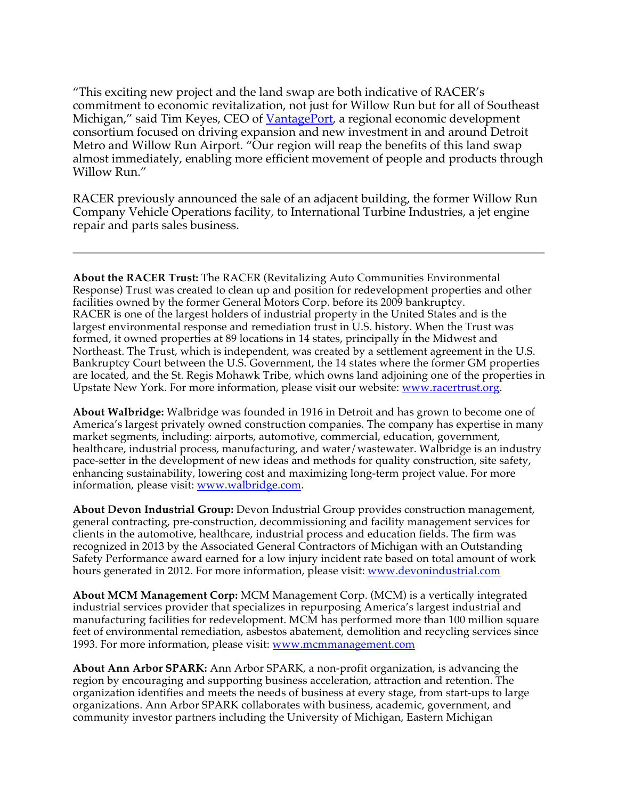"This exciting new project and the land swap are both indicative of RACER's commitment to economic revitalization, not just for Willow Run but for all of Southeast Michigan," said Tim Keyes, CEO of VantagePort, a regional economic development consortium focused on driving expansion and new investment in and around Detroit Metro and Willow Run Airport. "Our region will reap the benefits of this land swap almost immediately, enabling more efficient movement of people and products through Willow Run."

RACER previously announced the sale of an adjacent building, the former Willow Run Company Vehicle Operations facility, to International Turbine Industries, a jet engine repair and parts sales business.

**About the RACER Trust:** The RACER (Revitalizing Auto Communities Environmental Response) Trust was created to clean up and position for redevelopment properties and other facilities owned by the former General Motors Corp. before its 2009 bankruptcy. RACER is one of the largest holders of industrial property in the United States and is the largest environmental response and remediation trust in U.S. history. When the Trust was formed, it owned properties at 89 locations in 14 states, principally in the Midwest and Northeast. The Trust, which is independent, was created by a settlement agreement in the U.S. Bankruptcy Court between the U.S. Government, the 14 states where the former GM properties are located, and the St. Regis Mohawk Tribe, which owns land adjoining one of the properties in Upstate New York. For more information, please visit our website: www.racertrust.org.

**About Walbridge:** Walbridge was founded in 1916 in Detroit and has grown to become one of America's largest privately owned construction companies. The company has expertise in many market segments, including: airports, automotive, commercial, education, government, healthcare, industrial process, manufacturing, and water/wastewater. Walbridge is an industry pace-setter in the development of new ideas and methods for quality construction, site safety, enhancing sustainability, lowering cost and maximizing long-term project value. For more information, please visit: www.walbridge.com.

**About Devon Industrial Group:** Devon Industrial Group provides construction management, general contracting, pre-construction, decommissioning and facility management services for clients in the automotive, healthcare, industrial process and education fields. The firm was recognized in 2013 by the Associated General Contractors of Michigan with an Outstanding Safety Performance award earned for a low injury incident rate based on total amount of work hours generated in 2012. For more information, please visit: www.devonindustrial.com

**About MCM Management Corp:** MCM Management Corp. (MCM) is a vertically integrated industrial services provider that specializes in repurposing America's largest industrial and manufacturing facilities for redevelopment. MCM has performed more than 100 million square feet of environmental remediation, asbestos abatement, demolition and recycling services since 1993. For more information, please visit: www.mcmmanagement.com

**About Ann Arbor SPARK:** Ann Arbor SPARK, a non-profit organization, is advancing the region by encouraging and supporting business acceleration, attraction and retention. The organization identifies and meets the needs of business at every stage, from start-ups to large organizations. Ann Arbor SPARK collaborates with business, academic, government, and community investor partners including the University of Michigan, Eastern Michigan